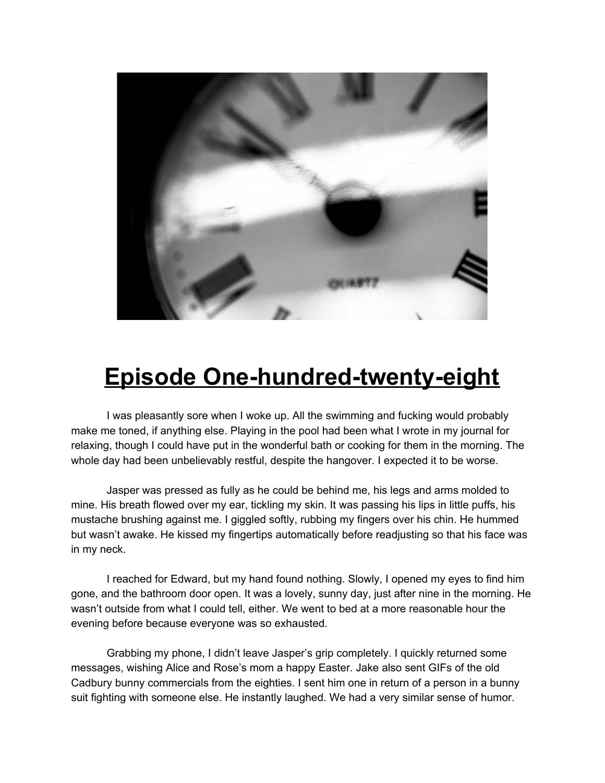

## **Episode One-hundred-twenty-eight**

I was pleasantly sore when I woke up. All the swimming and fucking would probably make me toned, if anything else. Playing in the pool had been what I wrote in my journal for relaxing, though I could have put in the wonderful bath or cooking for them in the morning. The whole day had been unbelievably restful, despite the hangover. I expected it to be worse.

Jasper was pressed as fully as he could be behind me, his legs and arms molded to mine. His breath flowed over my ear, tickling my skin. It was passing his lips in little puffs, his mustache brushing against me. I giggled softly, rubbing my fingers over his chin. He hummed but wasn't awake. He kissed my fingertips automatically before readjusting so that his face was in my neck.

I reached for Edward, but my hand found nothing. Slowly, I opened my eyes to find him gone, and the bathroom door open. It was a lovely, sunny day, just after nine in the morning. He wasn't outside from what I could tell, either. We went to bed at a more reasonable hour the evening before because everyone was so exhausted.

Grabbing my phone, I didn't leave Jasper's grip completely. I quickly returned some messages, wishing Alice and Rose's mom a happy Easter. Jake also sent GIFs of the old Cadbury bunny commercials from the eighties. I sent him one in return of a person in a bunny suit fighting with someone else. He instantly laughed. We had a very similar sense of humor.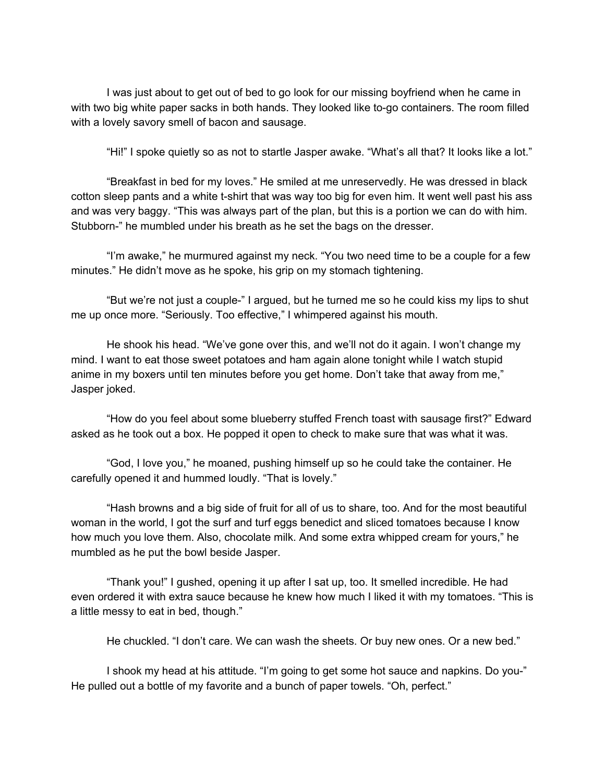I was just about to get out of bed to go look for our missing boyfriend when he came in with two big white paper sacks in both hands. They looked like to-go containers. The room filled with a lovely savory smell of bacon and sausage.

"Hi!" I spoke quietly so as not to startle Jasper awake. "What's all that? It looks like a lot."

"Breakfast in bed for my loves." He smiled at me unreservedly. He was dressed in black cotton sleep pants and a white t-shirt that was way too big for even him. It went well past his ass and was very baggy. "This was always part of the plan, but this is a portion we can do with him. Stubborn-" he mumbled under his breath as he set the bags on the dresser.

"I'm awake," he murmured against my neck. "You two need time to be a couple for a few minutes." He didn't move as he spoke, his grip on my stomach tightening.

"But we're not just a couple-" I argued, but he turned me so he could kiss my lips to shut me up once more. "Seriously. Too effective," I whimpered against his mouth.

He shook his head. "We've gone over this, and we'll not do it again. I won't change my mind. I want to eat those sweet potatoes and ham again alone tonight while I watch stupid anime in my boxers until ten minutes before you get home. Don't take that away from me," Jasper joked.

"How do you feel about some blueberry stuffed French toast with sausage first?" Edward asked as he took out a box. He popped it open to check to make sure that was what it was.

"God, I love you," he moaned, pushing himself up so he could take the container. He carefully opened it and hummed loudly. "That is lovely."

"Hash browns and a big side of fruit for all of us to share, too. And for the most beautiful woman in the world, I got the surf and turf eggs benedict and sliced tomatoes because I know how much you love them. Also, chocolate milk. And some extra whipped cream for yours," he mumbled as he put the bowl beside Jasper.

"Thank you!" I gushed, opening it up after I sat up, too. It smelled incredible. He had even ordered it with extra sauce because he knew how much I liked it with my tomatoes. "This is a little messy to eat in bed, though."

He chuckled. "I don't care. We can wash the sheets. Or buy new ones. Or a new bed."

I shook my head at his attitude. "I'm going to get some hot sauce and napkins. Do you-" He pulled out a bottle of my favorite and a bunch of paper towels. "Oh, perfect."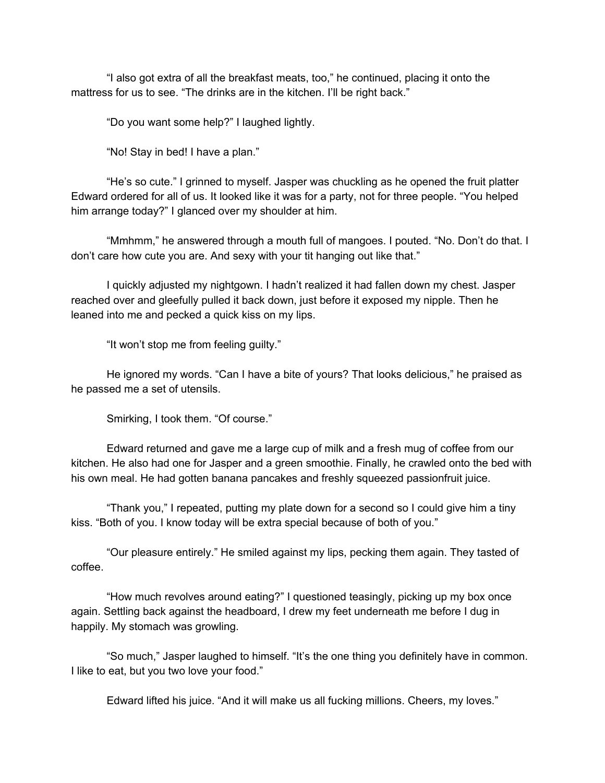"I also got extra of all the breakfast meats, too," he continued, placing it onto the mattress for us to see. "The drinks are in the kitchen. I'll be right back."

"Do you want some help?" I laughed lightly.

"No! Stay in bed! I have a plan."

"He's so cute." I grinned to myself. Jasper was chuckling as he opened the fruit platter Edward ordered for all of us. It looked like it was for a party, not for three people. "You helped him arrange today?" I glanced over my shoulder at him.

"Mmhmm," he answered through a mouth full of mangoes. I pouted. "No. Don't do that. I don't care how cute you are. And sexy with your tit hanging out like that."

I quickly adjusted my nightgown. I hadn't realized it had fallen down my chest. Jasper reached over and gleefully pulled it back down, just before it exposed my nipple. Then he leaned into me and pecked a quick kiss on my lips.

"It won't stop me from feeling guilty."

He ignored my words. "Can I have a bite of yours? That looks delicious," he praised as he passed me a set of utensils.

Smirking, I took them. "Of course."

Edward returned and gave me a large cup of milk and a fresh mug of coffee from our kitchen. He also had one for Jasper and a green smoothie. Finally, he crawled onto the bed with his own meal. He had gotten banana pancakes and freshly squeezed passionfruit juice.

"Thank you," I repeated, putting my plate down for a second so I could give him a tiny kiss. "Both of you. I know today will be extra special because of both of you."

"Our pleasure entirely." He smiled against my lips, pecking them again. They tasted of coffee.

"How much revolves around eating?" I questioned teasingly, picking up my box once again. Settling back against the headboard, I drew my feet underneath me before I dug in happily. My stomach was growling.

"So much," Jasper laughed to himself. "It's the one thing you definitely have in common. I like to eat, but you two love your food."

Edward lifted his juice. "And it will make us all fucking millions. Cheers, my loves."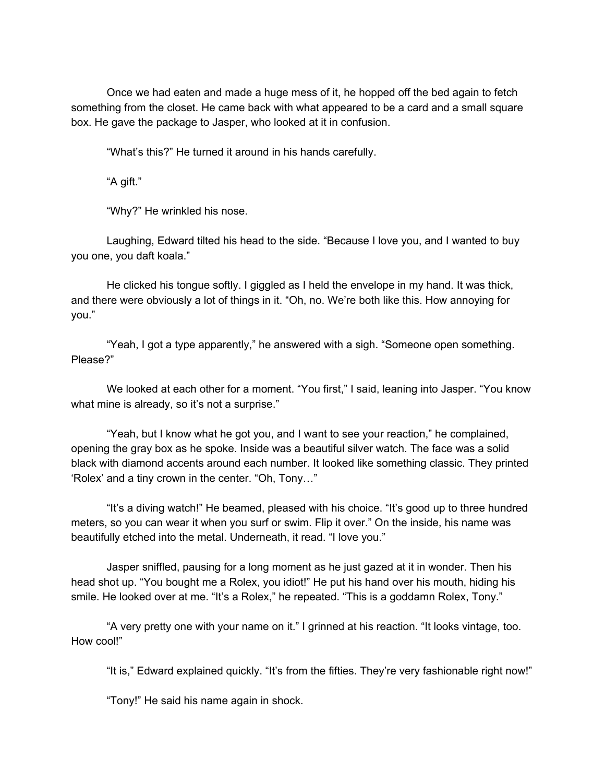Once we had eaten and made a huge mess of it, he hopped off the bed again to fetch something from the closet. He came back with what appeared to be a card and a small square box. He gave the package to Jasper, who looked at it in confusion.

"What's this?" He turned it around in his hands carefully.

"A gift."

"Why?" He wrinkled his nose.

Laughing, Edward tilted his head to the side. "Because I love you, and I wanted to buy you one, you daft koala."

He clicked his tongue softly. I giggled as I held the envelope in my hand. It was thick, and there were obviously a lot of things in it. "Oh, no. We're both like this. How annoying for you."

"Yeah, I got a type apparently," he answered with a sigh. "Someone open something. Please?"

We looked at each other for a moment. "You first," I said, leaning into Jasper. "You know what mine is already, so it's not a surprise."

"Yeah, but I know what he got you, and I want to see your reaction," he complained, opening the gray box as he spoke. Inside was a beautiful silver watch. The face was a solid black with diamond accents around each number. It looked like something classic. They printed 'Rolex' and a tiny crown in the center. "Oh, Tony…"

"It's a diving watch!" He beamed, pleased with his choice. "It's good up to three hundred meters, so you can wear it when you surf or swim. Flip it over." On the inside, his name was beautifully etched into the metal. Underneath, it read. "I love you."

Jasper sniffled, pausing for a long moment as he just gazed at it in wonder. Then his head shot up. "You bought me a Rolex, you idiot!" He put his hand over his mouth, hiding his smile. He looked over at me. "It's a Rolex," he repeated. "This is a goddamn Rolex, Tony."

"A very pretty one with your name on it." I grinned at his reaction. "It looks vintage, too. How cool!"

"It is," Edward explained quickly. "It's from the fifties. They're very fashionable right now!"

"Tony!" He said his name again in shock.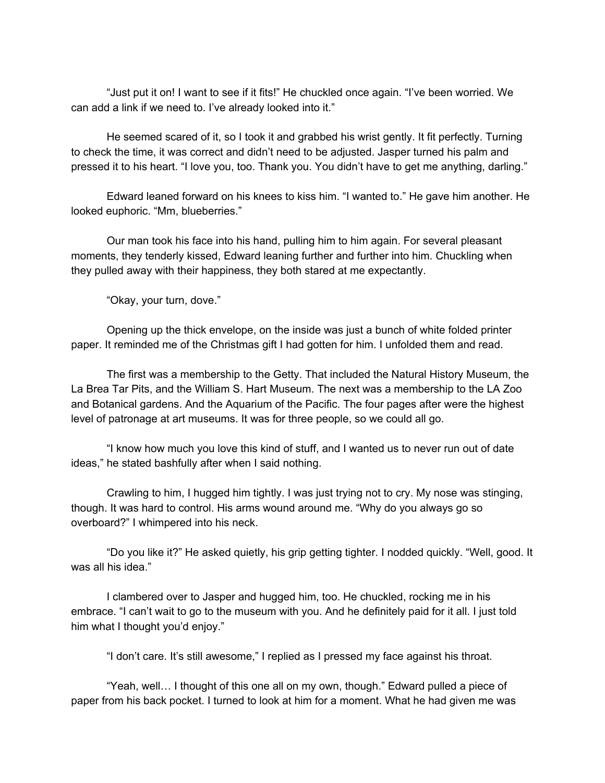"Just put it on! I want to see if it fits!" He chuckled once again. "I've been worried. We can add a link if we need to. I've already looked into it."

He seemed scared of it, so I took it and grabbed his wrist gently. It fit perfectly. Turning to check the time, it was correct and didn't need to be adjusted. Jasper turned his palm and pressed it to his heart. "I love you, too. Thank you. You didn't have to get me anything, darling."

Edward leaned forward on his knees to kiss him. "I wanted to." He gave him another. He looked euphoric. "Mm, blueberries."

Our man took his face into his hand, pulling him to him again. For several pleasant moments, they tenderly kissed, Edward leaning further and further into him. Chuckling when they pulled away with their happiness, they both stared at me expectantly.

"Okay, your turn, dove."

Opening up the thick envelope, on the inside was just a bunch of white folded printer paper. It reminded me of the Christmas gift I had gotten for him. I unfolded them and read.

The first was a membership to the Getty. That included the Natural History Museum, the La Brea Tar Pits, and the William S. Hart Museum. The next was a membership to the LA Zoo and Botanical gardens. And the Aquarium of the Pacific. The four pages after were the highest level of patronage at art museums. It was for three people, so we could all go.

"I know how much you love this kind of stuff, and I wanted us to never run out of date ideas," he stated bashfully after when I said nothing.

Crawling to him, I hugged him tightly. I was just trying not to cry. My nose was stinging, though. It was hard to control. His arms wound around me. "Why do you always go so overboard?" I whimpered into his neck.

"Do you like it?" He asked quietly, his grip getting tighter. I nodded quickly. "Well, good. It was all his idea."

I clambered over to Jasper and hugged him, too. He chuckled, rocking me in his embrace. "I can't wait to go to the museum with you. And he definitely paid for it all. I just told him what I thought you'd enjoy."

"I don't care. It's still awesome," I replied as I pressed my face against his throat.

"Yeah, well… I thought of this one all on my own, though." Edward pulled a piece of paper from his back pocket. I turned to look at him for a moment. What he had given me was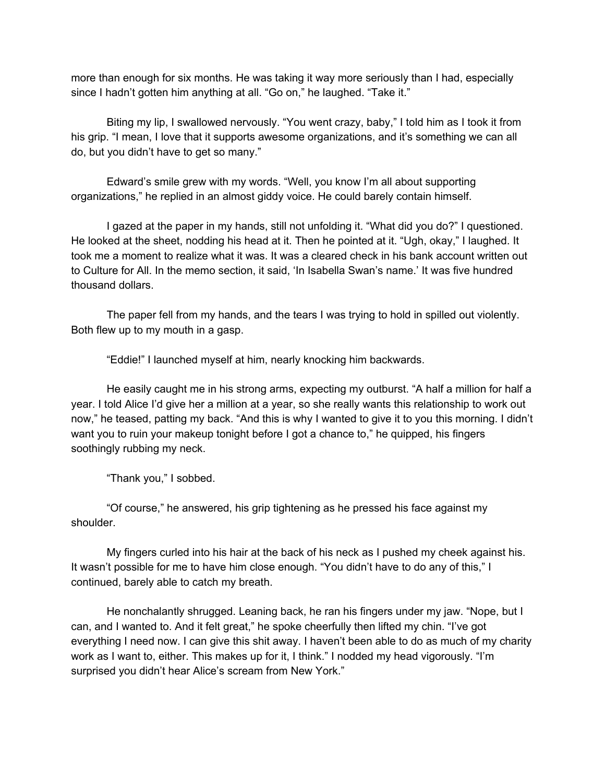more than enough for six months. He was taking it way more seriously than I had, especially since I hadn't gotten him anything at all. "Go on," he laughed. "Take it."

Biting my lip, I swallowed nervously. "You went crazy, baby," I told him as I took it from his grip. "I mean, I love that it supports awesome organizations, and it's something we can all do, but you didn't have to get so many."

Edward's smile grew with my words. "Well, you know I'm all about supporting organizations," he replied in an almost giddy voice. He could barely contain himself.

I gazed at the paper in my hands, still not unfolding it. "What did you do?" I questioned. He looked at the sheet, nodding his head at it. Then he pointed at it. "Ugh, okay," I laughed. It took me a moment to realize what it was. It was a cleared check in his bank account written out to Culture for All. In the memo section, it said, 'In Isabella Swan's name.' It was five hundred thousand dollars.

The paper fell from my hands, and the tears I was trying to hold in spilled out violently. Both flew up to my mouth in a gasp.

"Eddie!" I launched myself at him, nearly knocking him backwards.

He easily caught me in his strong arms, expecting my outburst. "A half a million for half a year. I told Alice I'd give her a million at a year, so she really wants this relationship to work out now," he teased, patting my back. "And this is why I wanted to give it to you this morning. I didn't want you to ruin your makeup tonight before I got a chance to," he quipped, his fingers soothingly rubbing my neck.

"Thank you," I sobbed.

"Of course," he answered, his grip tightening as he pressed his face against my shoulder.

My fingers curled into his hair at the back of his neck as I pushed my cheek against his. It wasn't possible for me to have him close enough. "You didn't have to do any of this," I continued, barely able to catch my breath.

He nonchalantly shrugged. Leaning back, he ran his fingers under my jaw. "Nope, but I can, and I wanted to. And it felt great," he spoke cheerfully then lifted my chin. "I've got everything I need now. I can give this shit away. I haven't been able to do as much of my charity work as I want to, either. This makes up for it, I think." I nodded my head vigorously. "I'm surprised you didn't hear Alice's scream from New York."